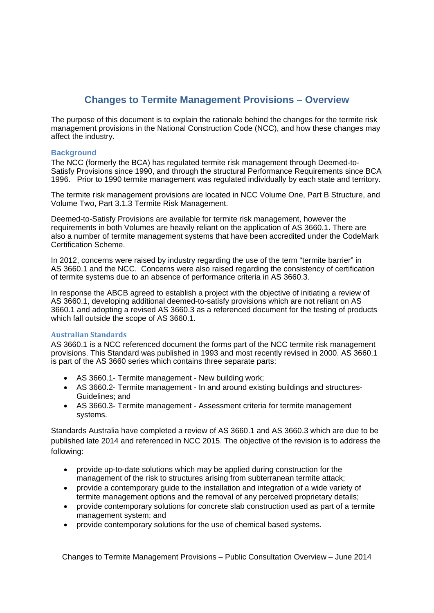# **Changes to Termite Management Provisions – Overview**

The purpose of this document is to explain the rationale behind the changes for the termite risk management provisions in the National Construction Code (NCC), and how these changes may affect the industry.

### **Background**

The NCC (formerly the BCA) has regulated termite risk management through Deemed-to-Satisfy Provisions since 1990, and through the structural Performance Requirements since BCA 1996. Prior to 1990 termite management was regulated individually by each state and territory.

The termite risk management provisions are located in NCC Volume One, Part B Structure, and Volume Two, Part 3.1.3 Termite Risk Management.

Deemed-to-Satisfy Provisions are available for termite risk management, however the requirements in both Volumes are heavily reliant on the application of AS 3660.1. There are also a number of termite management systems that have been accredited under the CodeMark Certification Scheme.

In 2012, concerns were raised by industry regarding the use of the term "termite barrier" in AS 3660.1 and the NCC. Concerns were also raised regarding the consistency of certification of termite systems due to an absence of performance criteria in AS 3660.3.

In response the ABCB agreed to establish a project with the objective of initiating a review of AS 3660.1, developing additional deemed-to-satisfy provisions which are not reliant on AS 3660.1 and adopting a revised AS 3660.3 as a referenced document for the testing of products which fall outside the scope of AS 3660.1.

### **Australian Standards**

AS 3660.1 is a NCC referenced document the forms part of the NCC termite risk management provisions. This Standard was published in 1993 and most recently revised in 2000. AS 3660.1 is part of the AS 3660 series which contains three separate parts:

- AS 3660.1- Termite management New building work;
- AS 3660.2- Termite management In and around existing buildings and structures-Guidelines; and
- AS 3660.3- Termite management Assessment criteria for termite management systems.

Standards Australia have completed a review of AS 3660.1 and AS 3660.3 which are due to be published late 2014 and referenced in NCC 2015. The objective of the revision is to address the following:

- provide up-to-date solutions which may be applied during construction for the management of the risk to structures arising from subterranean termite attack;
- provide a contemporary guide to the installation and integration of a wide variety of termite management options and the removal of any perceived proprietary details;
- provide contemporary solutions for concrete slab construction used as part of a termite management system; and
- provide contemporary solutions for the use of chemical based systems.

Changes to Termite Management Provisions – Public Consultation Overview – June 2014